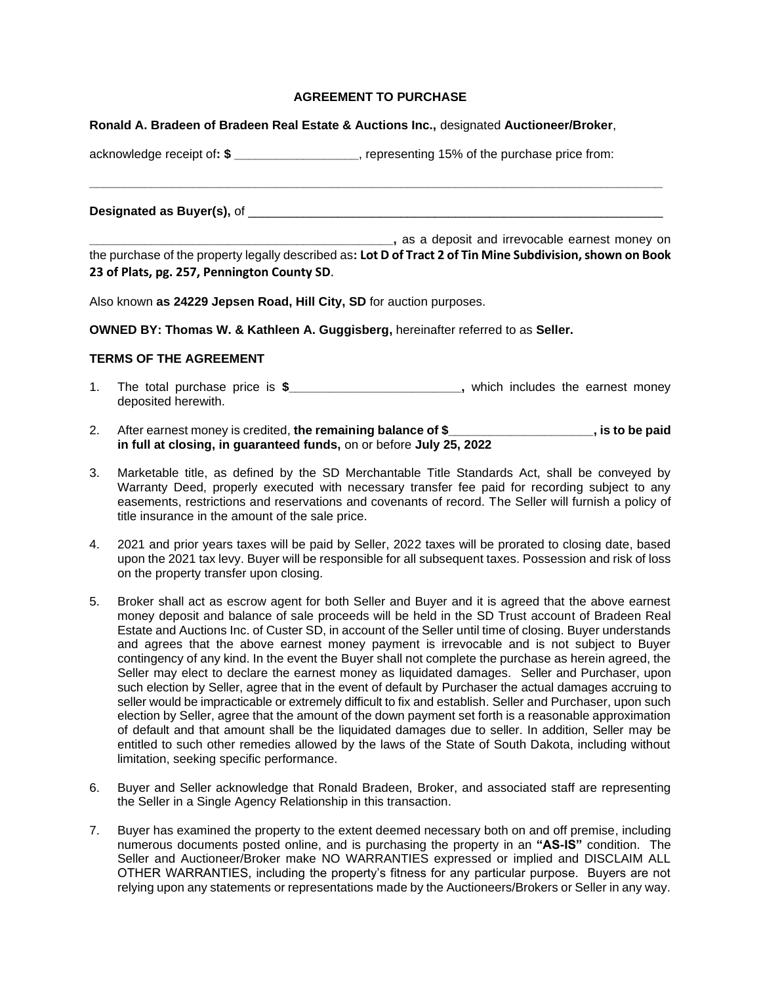## **AGREEMENT TO PURCHASE**

## **Ronald A. Bradeen of Bradeen Real Estate & Auctions Inc.,** designated **Auctioneer/Broker**,

acknowledge receipt of**: \$ \_\_\_\_\_\_\_\_\_\_\_\_\_\_\_\_\_\_**, representing 15% of the purchase price from:

**Designated as Buyer(s),** of \_\_\_\_\_\_\_\_\_\_\_\_\_\_\_\_\_\_\_\_\_\_\_\_\_\_\_\_\_\_\_\_\_\_\_\_\_\_\_\_\_\_\_\_\_\_\_\_\_\_\_\_\_\_\_\_\_\_\_\_

**\_\_\_\_\_\_\_\_\_\_\_\_\_\_\_\_\_\_\_\_\_\_\_\_\_\_**, as a deposit and irrevocable earnest money on the purchase of the property legally described as**: Lot D of Tract 2 of Tin Mine Subdivision, shown on Book 23 of Plats, pg. 257, Pennington County SD**.

**\_\_\_\_\_\_\_\_\_\_\_\_\_\_\_\_\_\_\_\_\_\_\_\_\_\_\_\_\_\_\_\_\_\_\_\_\_\_\_\_\_\_\_\_\_\_\_\_\_\_\_\_\_\_\_\_\_\_\_\_\_\_\_\_\_\_\_\_\_\_\_\_\_\_\_\_\_\_\_\_\_\_\_** 

Also known **as 24229 Jepsen Road, Hill City, SD** for auction purposes.

**OWNED BY: Thomas W. & Kathleen A. Guggisberg,** hereinafter referred to as **Seller.**

## **TERMS OF THE AGREEMENT**

- 1. The total purchase price is **\$\_\_\_\_\_\_\_\_\_\_\_\_\_\_\_\_\_\_\_\_\_\_\_\_\_,** which includes the earnest money deposited herewith.
- 2. After earnest money is credited, the remaining balance of \$\_\_\_\_\_\_\_\_\_\_\_\_\_\_\_\_\_\_\_\_\_\_\_\_\_, is to be paid **in full at closing, in guaranteed funds,** on or before **July 25, 2022**
- 3. Marketable title, as defined by the SD Merchantable Title Standards Act, shall be conveyed by Warranty Deed, properly executed with necessary transfer fee paid for recording subject to any easements, restrictions and reservations and covenants of record. The Seller will furnish a policy of title insurance in the amount of the sale price.
- 4. 2021 and prior years taxes will be paid by Seller, 2022 taxes will be prorated to closing date, based upon the 2021 tax levy. Buyer will be responsible for all subsequent taxes. Possession and risk of loss on the property transfer upon closing.
- 5. Broker shall act as escrow agent for both Seller and Buyer and it is agreed that the above earnest money deposit and balance of sale proceeds will be held in the SD Trust account of Bradeen Real Estate and Auctions Inc. of Custer SD, in account of the Seller until time of closing. Buyer understands and agrees that the above earnest money payment is irrevocable and is not subject to Buyer contingency of any kind. In the event the Buyer shall not complete the purchase as herein agreed, the Seller may elect to declare the earnest money as liquidated damages. Seller and Purchaser, upon such election by Seller, agree that in the event of default by Purchaser the actual damages accruing to seller would be impracticable or extremely difficult to fix and establish. Seller and Purchaser, upon such election by Seller, agree that the amount of the down payment set forth is a reasonable approximation of default and that amount shall be the liquidated damages due to seller. In addition, Seller may be entitled to such other remedies allowed by the laws of the State of South Dakota, including without limitation, seeking specific performance.
- 6. Buyer and Seller acknowledge that Ronald Bradeen, Broker, and associated staff are representing the Seller in a Single Agency Relationship in this transaction.
- 7. Buyer has examined the property to the extent deemed necessary both on and off premise, including numerous documents posted online, and is purchasing the property in an **"AS-IS"** condition. The Seller and Auctioneer/Broker make NO WARRANTIES expressed or implied and DISCLAIM ALL OTHER WARRANTIES, including the property's fitness for any particular purpose. Buyers are not relying upon any statements or representations made by the Auctioneers/Brokers or Seller in any way.